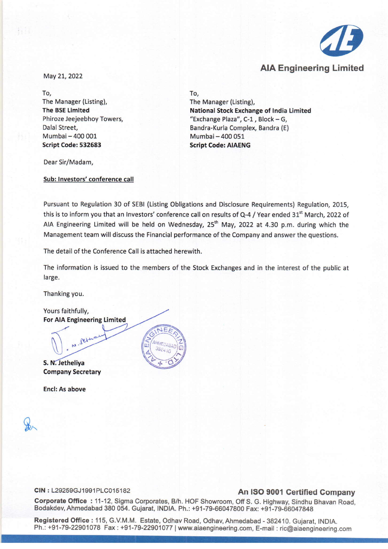

May 21,2022

To, The Manager (Listing), **The BSE Limited** Phiroze Jeejeebhoy Towers, Dalal Street, Mumbai - 400 001 Script Code: 532683

To,

The Manager (Listing), National Stock Exchange of India Limited "Exchange Plaza",  $C-1$ , Block - G, Bandra-Kurla Complex, Bandra (E) Mumbai - 400 051 Script Code: AIAENG

Dear Sir/Madam,

Sub: Investors' conference call

Pursuant to Regulation 30 of SEBI (Listing Obligations and Disclosure Requirements) Regulation, 2015, this is to inform you that an Investors' conference call on results of Q-4 / Year ended 31<sup>st</sup> March, 2022 of AIA Engineering Limited will be held on Wednesday, 25<sup>th</sup> May, 2022 at 4.30 p.m. during which the Management team will discuss the Financial performance of the Company and answer the questions.

The detail of the Conference Call is attached herewith.

The information is issued to the members of the Stock Exchanges and in the interest of the public at large.

Thanking you.

Yours faithfully, For AlA Engineering Limited

ret

S. N. Jetheliva Company Secretary

End: As above

## CIN : L29259GJ1991PLC015182 An ISO 9001 Certified Company

Corporate Office: 11-12, Sigma Corporates, B/h. HOF Showroom, Off S. G. Highway, Sindhu Bhavan Road, Bodakdev, Ahmedabad 380054. Gujarat, INDIA. Ph.: +91-79-66047800 Fax: +91-79-66047848

Registered Office: 115, G.v.M.M. Estate, Odhav Road, Odhav, Ahmedabad - 382410. Gujarat, INDIA. Ph.: +91-79-22901078 Fax: +91-79-22901077 | [www.aiaengineering.com,](http://www.aiaengineering.com,) E-mail: [ric@aiaengineering.com](mailto:ric@aiaengineering.com)